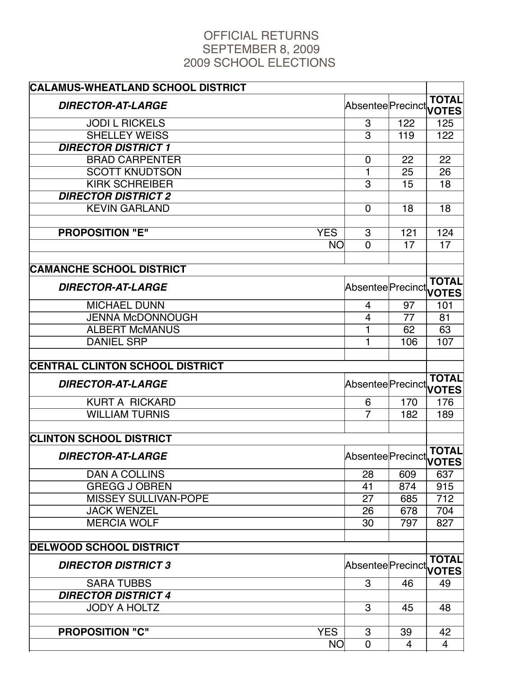## OFFICIAL RETURNS SEPTEMBER 8, 2009 2009 SCHOOL ELECTIONS

| <b>CALAMUS-WHEATLAND SCHOOL DISTRICT</b> |                                     |     |                  |
|------------------------------------------|-------------------------------------|-----|------------------|
| <b>DIRECTOR-AT-LARGE</b>                 | AbsenteePrecinct <b>on Contract</b> |     | <b>TOTAL</b>     |
| <b>JODI L RICKELS</b>                    | 3                                   | 122 | 125              |
| <b>SHELLEY WEISS</b>                     | 3                                   | 119 | 122              |
| <b>DIRECTOR DISTRICT 1</b>               |                                     |     |                  |
| <b>BRAD CARPENTER</b>                    | 0                                   | 22  | 22               |
| <b>SCOTT KNUDTSON</b>                    | $\mathbf 1$                         | 25  | 26               |
| <b>KIRK SCHREIBER</b>                    | 3                                   | 15  | 18               |
| <b>DIRECTOR DISTRICT 2</b>               |                                     |     |                  |
| <b>KEVIN GARLAND</b>                     | $\mathbf 0$                         | 18  | 18               |
| <b>PROPOSITION "E"</b><br><b>YES</b>     | $\boldsymbol{3}$                    | 121 | 124              |
| <b>NO</b>                                | $\overline{0}$                      | 17  | 17               |
|                                          |                                     |     |                  |
| <b>CAMANCHE SCHOOL DISTRICT</b>          |                                     |     |                  |
| <b>DIRECTOR-AT-LARGE</b>                 | Absentee Precinct IVITES            |     |                  |
| <b>MICHAEL DUNN</b>                      | $\overline{4}$                      | 97  | 101              |
| <b>JENNA McDONNOUGH</b>                  | 4                                   | 77  | 81               |
| <b>ALBERT McMANUS</b>                    | 1                                   | 62  | 63               |
| <b>DANIEL SRP</b>                        | 1                                   | 106 | 107              |
|                                          |                                     |     |                  |
| <b>CENTRAL CLINTON SCHOOL DISTRICT</b>   |                                     |     |                  |
| <b>DIRECTOR-AT-LARGE</b>                 | AbsenteePrecinct <b>on Contract</b> |     | <b>TOTAL</b>     |
| <b>KURT A RICKARD</b>                    | 6                                   | 170 | 176              |
| <b>WILLIAM TURNIS</b>                    | $\overline{7}$                      | 182 | 189              |
|                                          |                                     |     |                  |
| <b>CLINTON SCHOOL DISTRICT</b>           |                                     |     |                  |
| <b>DIRECTOR-AT-LARGE</b>                 | Absentee Precinct VOTES             |     |                  |
| <b>DAN A COLLINS</b>                     | 28                                  | 609 | 637              |
| <b>GREGG J OBREN</b>                     | 41                                  | 874 | 915              |
| <b>MISSEY SULLIVAN-POPE</b>              | 27                                  | 685 | $\overline{712}$ |
| <b>JACK WENZEL</b>                       | 26                                  | 678 | 704              |
| <b>MERCIA WOLF</b>                       | 30                                  | 797 | 827              |
| <b>DELWOOD SCHOOL DISTRICT</b>           |                                     |     |                  |
| <b>DIRECTOR DISTRICT 3</b>               | Absentee Precinct VOTES             |     | <b>TOTAL</b>     |
| <b>SARA TUBBS</b>                        | 3                                   | 46  | 49               |
| <b>DIRECTOR DISTRICT 4</b>               |                                     |     |                  |
| <b>JODY A HOLTZ</b>                      | 3                                   | 45  | 48               |
|                                          |                                     |     |                  |
| <b>PROPOSITION "C"</b><br><b>YES</b>     | $\ensuremath{\mathsf{3}}$           | 39  | 42               |
| <b>NO</b>                                | $\overline{0}$                      | 4   | $\overline{4}$   |